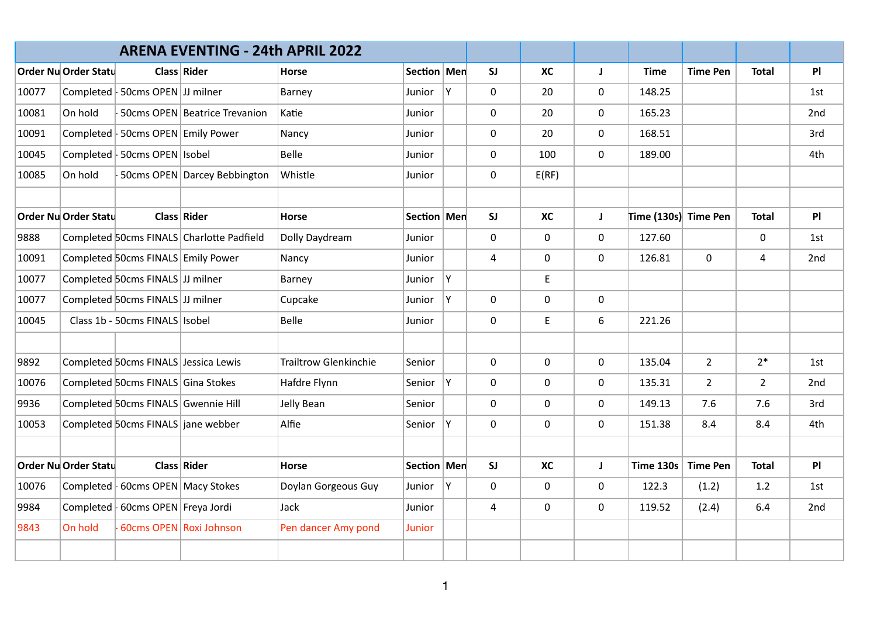|       |                      |                                      | <b>ARENA EVENTING - 24th APRIL 2022</b>   |                              |               |    |                |             |              |                      |                 |                |     |
|-------|----------------------|--------------------------------------|-------------------------------------------|------------------------------|---------------|----|----------------|-------------|--------------|----------------------|-----------------|----------------|-----|
|       | Order Nu Order Statu |                                      | Class Rider                               | <b>Horse</b>                 | Section Men   |    | SI             | <b>XC</b>   | J            | <b>Time</b>          | <b>Time Pen</b> | <b>Total</b>   | PI  |
| 10077 |                      | Completed   50cms OPEN JJ milner     |                                           | Barney                       | Junior        | Y  | $\mathbf{0}$   | 20          | 0            | 148.25               |                 |                | 1st |
| 10081 | On hold              |                                      | 50cms OPEN Beatrice Trevanion             | Katie                        | Junior        |    | 0              | 20          | 0            | 165.23               |                 |                | 2nd |
| 10091 |                      | Completed   50cms OPEN   Emily Power |                                           | Nancy                        | Junior        |    | $\mathbf 0$    | 20          | $\mathbf 0$  | 168.51               |                 |                | 3rd |
| 10045 |                      | Completed   50cms OPEN   Isobel      |                                           | Belle                        | Junior        |    | 0              | 100         | $\mathbf 0$  | 189.00               |                 |                | 4th |
| 10085 | On hold              |                                      | 50cms OPEN Darcey Bebbington              | Whistle                      | Junior        |    | 0              | E(RF)       |              |                      |                 |                |     |
|       | Order Nu Order Statu |                                      | Class Rider                               | <b>Horse</b>                 | Section   Men |    | SI             | <b>XC</b>   | $\mathbf{J}$ | Time (130s) Time Pen |                 | <b>Total</b>   | PI  |
| 9888  |                      |                                      | Completed 50cms FINALS Charlotte Padfield | Dolly Daydream               | Junior        |    | 0              | $\mathbf 0$ | 0            | 127.60               |                 | $\mathsf{O}$   | 1st |
| 10091 |                      | Completed 50cms FINALS Emily Power   |                                           | Nancy                        | Junior        |    | $\overline{4}$ | $\mathbf 0$ | $\mathbf 0$  | 126.81               | $\mathbf 0$     | $\overline{4}$ | 2nd |
| 10077 |                      | Completed 50cms FINALS JJ milner     |                                           | Barney                       | Junior        | Y. |                | E           |              |                      |                 |                |     |
| 10077 |                      | Completed 50cms FINALS JJ milner     |                                           | Cupcake                      | Junior        | Y. | 0              | $\mathbf 0$ | $\mathbf 0$  |                      |                 |                |     |
| 10045 |                      | Class 1b - 50cms FINALS   Isobel     |                                           | Belle                        | Junior        |    | 0              | E           | 6            | 221.26               |                 |                |     |
|       |                      |                                      |                                           |                              |               |    |                |             |              |                      |                 |                |     |
| 9892  |                      | Completed 50cms FINALS Jessica Lewis |                                           | <b>Trailtrow Glenkinchie</b> | Senior        |    | 0              | 0           | $\mathbf 0$  | 135.04               | $\overline{2}$  | $2*$           | 1st |
| 10076 |                      | Completed 50cms FINALS Gina Stokes   |                                           | Hafdre Flynn                 | Senior        | Y  | 0              | $\mathbf 0$ | 0            | 135.31               | $\overline{2}$  | $\overline{2}$ | 2nd |
| 9936  |                      | Completed 50cms FINALS Gwennie Hill  |                                           | Jelly Bean                   | Senior        |    | 0              | 0           | $\mathbf{0}$ | 149.13               | 7.6             | 7.6            | 3rd |
| 10053 |                      | Completed 50cms FINALS jane webber   |                                           | Alfie                        | Senior        | Y  | $\mathbf 0$    | $\mathbf 0$ | $\mathbf 0$  | 151.38               | 8.4             | 8.4            | 4th |
|       |                      |                                      |                                           |                              |               |    |                |             |              |                      |                 |                |     |
|       | Order Nu Order Statu |                                      | Class Rider                               | <b>Horse</b>                 | Section   Men |    | SI             | <b>XC</b>   | J.           | <b>Time 130s</b>     | <b>Time Pen</b> | <b>Total</b>   | PI  |
| 10076 |                      | Completed   60cms OPEN   Macy Stokes |                                           | Doylan Gorgeous Guy          | Junior        | Y  | $\mathsf{O}$   | 0           | 0            | 122.3                | (1.2)           | 1.2            | 1st |
| 9984  |                      | Completed   60cms OPEN   Freya Jordi |                                           | Jack                         | Junior        |    | $\overline{4}$ | 0           | $\mathbf 0$  | 119.52               | (2.4)           | 6.4            | 2nd |
| 9843  | On hold              |                                      | 60cms OPEN Roxi Johnson                   | Pen dancer Amy pond          | Junior        |    |                |             |              |                      |                 |                |     |
|       |                      |                                      |                                           |                              |               |    |                |             |              |                      |                 |                |     |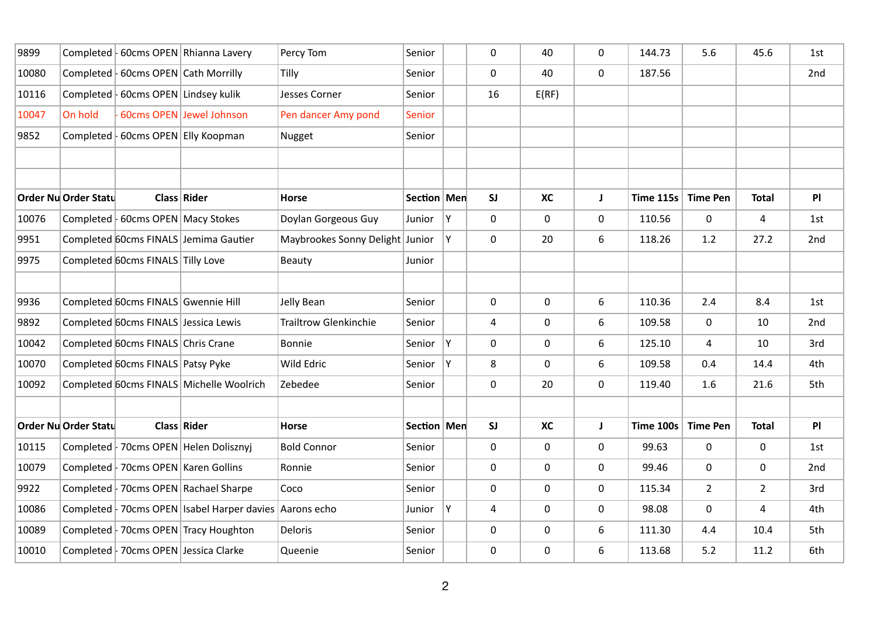| 9899  |                      |                                        | Completed   60cms OPEN   Rhianna Lavery                     | Percy Tom                       | Senior        |    | 0  | 40          | 0            | 144.73           | 5.6             | 45.6           | 1st |
|-------|----------------------|----------------------------------------|-------------------------------------------------------------|---------------------------------|---------------|----|----|-------------|--------------|------------------|-----------------|----------------|-----|
| 10080 | Completed  -         |                                        | 60cms OPEN Cath Morrilly                                    | Tilly                           | Senior        |    | 0  | 40          | $\mathbf 0$  | 187.56           |                 |                | 2nd |
| 10116 |                      | Completed   60cms OPEN   Lindsey kulik |                                                             | <b>Jesses Corner</b>            | Senior        |    | 16 | E(RF)       |              |                  |                 |                |     |
| 10047 | On hold              |                                        | 60cms OPEN Jewel Johnson                                    | Pen dancer Amy pond             | <b>Senior</b> |    |    |             |              |                  |                 |                |     |
| 9852  | Completed            |                                        | 60cms OPEN Elly Koopman                                     | Nugget                          | Senior        |    |    |             |              |                  |                 |                |     |
|       |                      |                                        |                                                             |                                 |               |    |    |             |              |                  |                 |                |     |
|       |                      |                                        |                                                             |                                 |               |    |    |             |              |                  |                 |                |     |
|       | Order Nu Order Statu |                                        | Class Rider                                                 | <b>Horse</b>                    | Section   Men |    | SI | <b>XC</b>   | J            | <b>Time 115s</b> | <b>Time Pen</b> | <b>Total</b>   | PI  |
| 10076 |                      | Completed   60cms OPEN   Macy Stokes   |                                                             | Doylan Gorgeous Guy             | Junior        | Y  | 0  | $\mathbf 0$ | $\mathsf{O}$ | 110.56           | $\mathbf 0$     | $\overline{4}$ | 1st |
| 9951  |                      |                                        | Completed 60cms FINALS Jemima Gautier                       | Maybrookes Sonny Delight Junior |               | Y. | 0  | 20          | 6            | 118.26           | 1.2             | 27.2           | 2nd |
| 9975  |                      | Completed 60cms FINALS Tilly Love      |                                                             | Beauty                          | Junior        |    |    |             |              |                  |                 |                |     |
|       |                      |                                        |                                                             |                                 |               |    |    |             |              |                  |                 |                |     |
| 9936  |                      | Completed 60cms FINALS Gwennie Hill    |                                                             | Jelly Bean                      | Senior        |    | 0  | $\mathbf 0$ | 6            | 110.36           | 2.4             | 8.4            | 1st |
| 9892  |                      | Completed 60cms FINALS Jessica Lewis   |                                                             | <b>Trailtrow Glenkinchie</b>    | Senior        |    | 4  | $\mathbf 0$ | 6            | 109.58           | 0               | 10             | 2nd |
| 10042 |                      | Completed 60cms FINALS Chris Crane     |                                                             | <b>Bonnie</b>                   | Senior        | Y  | 0  | $\mathbf 0$ | 6            | 125.10           | 4               | 10             | 3rd |
| 10070 |                      | Completed 60cms FINALS Patsy Pyke      |                                                             | Wild Edric                      | Senior        | Υ  | 8  | $\mathbf 0$ | 6            | 109.58           | 0.4             | 14.4           | 4th |
| 10092 |                      |                                        | Completed 60cms FINALS Michelle Woolrich                    | Zebedee                         | Senior        |    | 0  | 20          | $\mathbf 0$  | 119.40           | 1.6             | 21.6           | 5th |
|       |                      |                                        |                                                             |                                 |               |    |    |             |              |                  |                 |                |     |
|       | Order Nu Order Statu |                                        | <b>Class Rider</b>                                          | <b>Horse</b>                    | Section   Men |    | SI | <b>XC</b>   | J            | <b>Time 100s</b> | <b>Time Pen</b> | <b>Total</b>   | PI  |
| 10115 |                      |                                        | Completed   70cms OPEN   Helen Dolisznyj                    | <b>Bold Connor</b>              | Senior        |    | 0  | $\mathbf 0$ | $\mathbf 0$  | 99.63            | $\pmb{0}$       | $\mathbf 0$    | 1st |
| 10079 |                      | Completed   70cms OPEN   Karen Gollins |                                                             | Ronnie                          | Senior        |    | 0  | $\mathbf 0$ | $\mathbf 0$  | 99.46            | 0               | $\mathbf 0$    | 2nd |
| 9922  |                      |                                        | Completed   70cms OPEN   Rachael Sharpe                     | Coco                            | Senior        |    | 0  | $\mathbf 0$ | 0            | 115.34           | $\overline{2}$  | $\overline{2}$ | 3rd |
| 10086 |                      |                                        | Completed   70cms OPEN   Isabel Harper davies   Aarons echo |                                 | Junior        | Y  | 4  | $\mathbf 0$ | $\Omega$     | 98.08            | 0               | 4              | 4th |
| 10089 |                      |                                        | Completed   70cms OPEN   Tracy Houghton                     | <b>Deloris</b>                  | Senior        |    | 0  | $\mathbf 0$ | 6            | 111.30           | 4.4             | 10.4           | 5th |
| 10010 |                      |                                        | Completed   70cms OPEN Jessica Clarke                       | Queenie                         | Senior        |    | 0  | $\mathbf 0$ | 6            | 113.68           | 5.2             | 11.2           | 6th |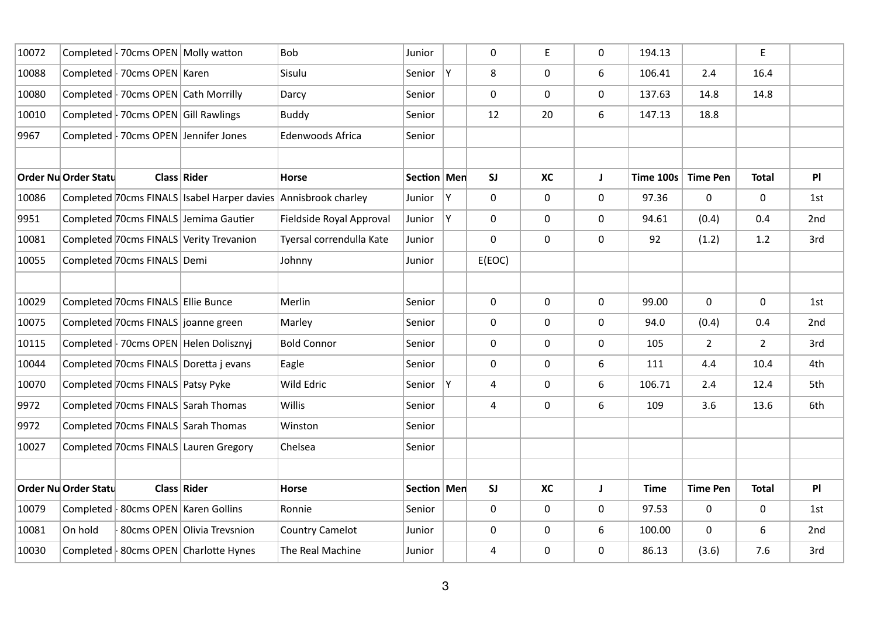| 10072 |                             | Completed   70cms OPEN   Molly watton |                                               | <b>Bob</b>               | Junior        |    | 0      | E.          | $\mathbf 0$  | 194.13      |                 | E              |     |
|-------|-----------------------------|---------------------------------------|-----------------------------------------------|--------------------------|---------------|----|--------|-------------|--------------|-------------|-----------------|----------------|-----|
| 10088 |                             | Completed   70cms OPEN   Karen        |                                               | Sisulu                   | Senior        | Y  | 8      | $\mathbf 0$ | 6            | 106.41      | 2.4             | 16.4           |     |
| 10080 |                             | Completed   70cms OPEN Cath Morrilly  |                                               | Darcy                    | Senior        |    | 0      | $\mathbf 0$ | $\mathsf{O}$ | 137.63      | 14.8            | 14.8           |     |
| 10010 |                             | Completed   70cms OPEN Gill Rawlings  |                                               | <b>Buddy</b>             | Senior        |    | 12     | 20          | 6            | 147.13      | 18.8            |                |     |
| 9967  |                             |                                       | Completed   70cms OPEN Jennifer Jones         | Edenwoods Africa         | Senior        |    |        |             |              |             |                 |                |     |
|       |                             |                                       |                                               |                          |               |    |        |             |              |             |                 |                |     |
|       | <b>Order Nu Order Statu</b> |                                       | Class Rider                                   | Horse                    | Section   Men |    | SI     | <b>XC</b>   | J            | Time 100s   | <b>Time Pen</b> | <b>Total</b>   | PI  |
| 10086 |                             |                                       | Completed 70cms FINALS   Isabel Harper davies | Annisbrook charley       | Junior        | Y  | 0      | $\mathbf 0$ | $\mathsf{O}$ | 97.36       | 0               | 0              | 1st |
| 9951  |                             |                                       | Completed 70cms FINALS Jemima Gautier         | Fieldside Royal Approval | Junior        | Ÿ  | 0      | $\mathbf 0$ | $\mathsf{O}$ | 94.61       | (0.4)           | 0.4            | 2nd |
| 10081 |                             |                                       | Completed 70cms FINALS Verity Trevanion       | Tyersal correndulla Kate | Junior        |    | 0      | $\mathbf 0$ | $\mathsf{O}$ | 92          | (1.2)           | 1.2            | 3rd |
| 10055 |                             | Completed 70cms FINALS Demi           |                                               | Johnny                   | Junior        |    | E(EOC) |             |              |             |                 |                |     |
|       |                             |                                       |                                               |                          |               |    |        |             |              |             |                 |                |     |
| 10029 |                             | Completed 70cms FINALS Ellie Bunce    |                                               | Merlin                   | Senior        |    | 0      | $\mathbf 0$ | $\mathsf{O}$ | 99.00       | $\mathbf 0$     | $\mathsf{O}$   | 1st |
| 10075 |                             |                                       | Completed 70cms FINALS joanne green           | Marley                   | Senior        |    | 0      | $\mathbf 0$ | $\mathsf{O}$ | 94.0        | (0.4)           | 0.4            | 2nd |
| 10115 |                             |                                       | Completed   70cms OPEN   Helen Dolisznyj      | <b>Bold Connor</b>       | Senior        |    | 0      | $\mathbf 0$ | 0            | 105         | $\overline{2}$  | $\overline{2}$ | 3rd |
| 10044 |                             |                                       | Completed 70cms FINALS Doretta j evans        | Eagle                    | Senior        |    | 0      | $\mathbf 0$ | 6            | 111         | 4.4             | 10.4           | 4th |
| 10070 |                             | Completed 70cms FINALS Patsy Pyke     |                                               | Wild Edric               | Senior        | Y. | 4      | $\mathbf 0$ | 6            | 106.71      | 2.4             | 12.4           | 5th |
| 9972  |                             |                                       | Completed 70cms FINALS Sarah Thomas           | Willis                   | Senior        |    | 4      | $\mathbf 0$ | 6            | 109         | 3.6             | 13.6           | 6th |
| 9972  |                             |                                       | Completed 70cms FINALS Sarah Thomas           | Winston                  | Senior        |    |        |             |              |             |                 |                |     |
| 10027 |                             |                                       | Completed 70cms FINALS Lauren Gregory         | Chelsea                  | Senior        |    |        |             |              |             |                 |                |     |
|       |                             |                                       |                                               |                          |               |    |        |             |              |             |                 |                |     |
|       | <b>Order Nu Order Statu</b> |                                       | Class Rider                                   | <b>Horse</b>             | Section   Men |    | SI     | <b>XC</b>   | J            | <b>Time</b> | <b>Time Pen</b> | <b>Total</b>   | PI  |
| 10079 |                             |                                       | Completed   80cms OPEN   Karen Gollins        | Ronnie                   | Senior        |    | 0      | $\mathbf 0$ | 0            | 97.53       | 0               | 0              | 1st |
| 10081 | On hold                     |                                       | 80cms OPEN Olivia Trevsnion                   | <b>Country Camelot</b>   | Junior        |    | 0      | $\mathbf 0$ | 6            | 100.00      | $\mathbf 0$     | 6              | 2nd |
| 10030 |                             |                                       | Completed   80cms OPEN   Charlotte Hynes      | The Real Machine         | Junior        |    | 4      | $\mathbf 0$ | 0            | 86.13       | (3.6)           | 7.6            | 3rd |